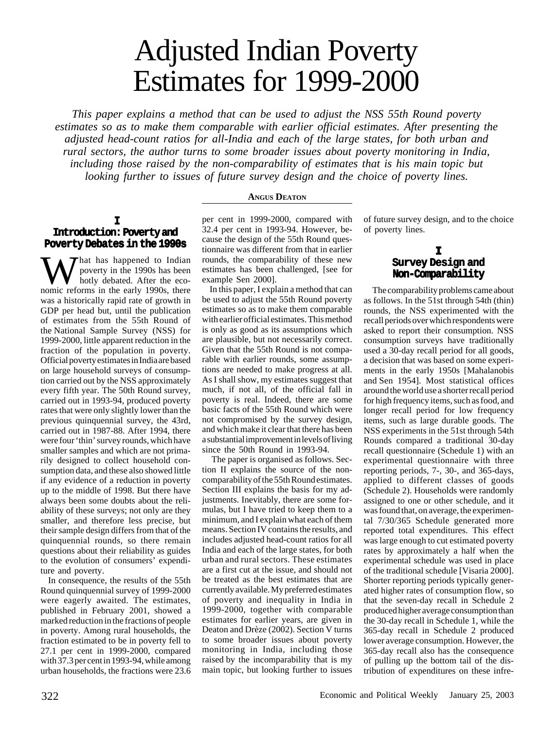# Adjusted Indian Poverty Estimates for 1999-2000

*This paper explains a method that can be used to adjust the NSS 55th Round poverty estimates so as to make them comparable with earlier official estimates. After presenting the adjusted head-count ratios for all-India and each of the large states, for both urban and rural sectors, the author turns to some broader issues about poverty monitoring in India, including those raised by the non-comparability of estimates that is his main topic but looking further to issues of future survey design and the choice of poverty lines.*

#### **ANGUS DEATON**

#### **I Introduction: Poverty and Poverty Debates in the 1990s**

That has happened to Indian poverty in the 1990s has been hotly debated. After the economic reforms in the early 1990s, there was a historically rapid rate of growth in GDP per head but, until the publication of estimates from the 55th Round of the National Sample Survey (NSS) for 1999-2000, little apparent reduction in the fraction of the population in poverty. Official poverty estimates in India are based on large household surveys of consumption carried out by the NSS approximately every fifth year. The 50th Round survey, carried out in 1993-94, produced poverty rates that were only slightly lower than the previous quinquennial survey, the 43rd, carried out in 1987-88. After 1994, there were four 'thin' survey rounds, which have smaller samples and which are not primarily designed to collect household consumption data, and these also showed little if any evidence of a reduction in poverty up to the middle of 1998. But there have always been some doubts about the reliability of these surveys; not only are they smaller, and therefore less precise, but their sample design differs from that of the quinquennial rounds, so there remain questions about their reliability as guides to the evolution of consumers' expenditure and poverty.

In consequence, the results of the 55th Round quinquennial survey of 1999-2000 were eagerly awaited. The estimates, published in February 2001, showed a marked reduction in the fractions of people in poverty. Among rural households, the fraction estimated to be in poverty fell to 27.1 per cent in 1999-2000, compared with 37.3 per cent in 1993-94, while among urban households, the fractions were 23.6

per cent in 1999-2000, compared with 32.4 per cent in 1993-94. However, because the design of the 55th Round questionnaire was different from that in earlier rounds, the comparability of these new estimates has been challenged, [see for example Sen 2000].

In this paper, I explain a method that can be used to adjust the 55th Round poverty estimates so as to make them comparable with earlier official estimates. This method is only as good as its assumptions which are plausible, but not necessarily correct. Given that the 55th Round is not comparable with earlier rounds, some assumptions are needed to make progress at all. As I shall show, my estimates suggest that much, if not all, of the official fall in poverty is real. Indeed, there are some basic facts of the 55th Round which were not compromised by the survey design, and which make it clear that there has been a substantial improvement in levels of living since the 50th Round in 1993-94.

 The paper is organised as follows. Section II explains the source of the noncomparability of the 55th Round estimates. Section III explains the basis for my adjustments. Inevitably, there are some formulas, but I have tried to keep them to a minimum, and I explain what each of them means. Section IV contains the results, and includes adjusted head-count ratios for all India and each of the large states, for both urban and rural sectors. These estimates are a first cut at the issue, and should not be treated as the best estimates that are currently available. My preferred estimates of poverty and inequality in India in 1999-2000, together with comparable estimates for earlier years, are given in Deaton and Drèze (2002). Section V turns to some broader issues about poverty monitoring in India, including those raised by the incomparability that is my main topic, but looking further to issues of future survey design, and to the choice of poverty lines.

## **I Survey Design and Non-Comparability**

 The comparability problems came about as follows. In the 51st through 54th (thin) rounds, the NSS experimented with the recall periods over which respondents were asked to report their consumption. NSS consumption surveys have traditionally used a 30-day recall period for all goods, a decision that was based on some experiments in the early 1950s [Mahalanobis and Sen 1954]. Most statistical offices around the world use a shorter recall period for high frequency items, such as food, and longer recall period for low frequency items, such as large durable goods. The NSS experiments in the 51st through 54th Rounds compared a traditional 30-day recall questionnaire (Schedule 1) with an experimental questionnaire with three reporting periods, 7-, 30-, and 365-days, applied to different classes of goods (Schedule 2). Households were randomly assigned to one or other schedule, and it was found that, on average, the experimental 7/30/365 Schedule generated more reported total expenditures. This effect was large enough to cut estimated poverty rates by approximately a half when the experimental schedule was used in place of the traditional schedule [Visaria 2000]. Shorter reporting periods typically generated higher rates of consumption flow, so that the seven-day recall in Schedule 2 produced higher average consumption than the 30-day recall in Schedule 1, while the 365-day recall in Schedule 2 produced lower average consumption. However, the 365-day recall also has the consequence of pulling up the bottom tail of the distribution of expenditures on these infre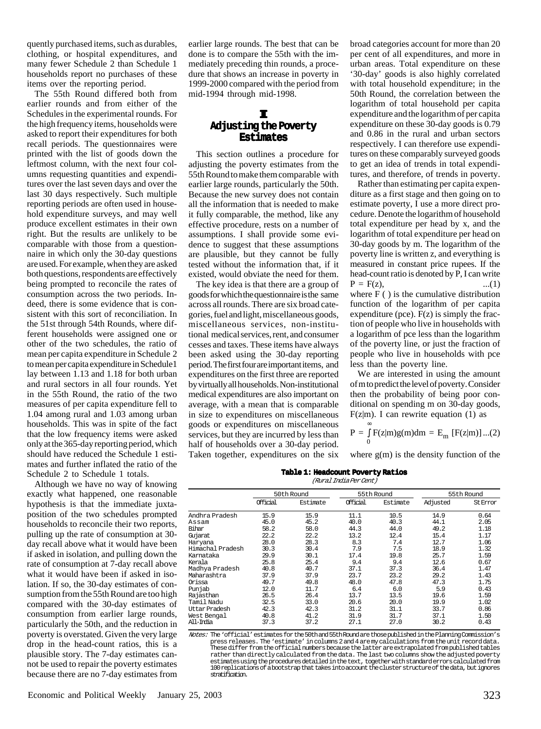quently purchased items, such as durables, clothing, or hospital expenditures, and many fewer Schedule 2 than Schedule 1 households report no purchases of these items over the reporting period.

The 55th Round differed both from earlier rounds and from either of the Schedules in the experimental rounds. For the high frequency items, households were asked to report their expenditures for both recall periods. The questionnaires were printed with the list of goods down the leftmost column, with the next four columns requesting quantities and expenditures over the last seven days and over the last 30 days respectively. Such multiple reporting periods are often used in household expenditure surveys, and may well produce excellent estimates in their own right. But the results are unlikely to be comparable with those from a questionnaire in which only the 30-day questions are used. For example, when they are asked both questions, respondents are effectively being prompted to reconcile the rates of consumption across the two periods. Indeed, there is some evidence that is consistent with this sort of reconciliation. In the 51st through 54th Rounds, where different households were assigned one or other of the two schedules, the ratio of mean per capita expenditure in Schedule 2 to mean per capita expenditure in Schedule1 lay between 1.13 and 1.18 for both urban and rural sectors in all four rounds. Yet in the 55th Round, the ratio of the two measures of per capita expenditure fell to 1.04 among rural and 1.03 among urban households. This was in spite of the fact that the low frequency items were asked only at the 365-day reporting period, which should have reduced the Schedule 1 estimates and further inflated the ratio of the Schedule 2 to Schedule 1 totals.

Although we have no way of knowing exactly what happened, one reasonable hypothesis is that the immediate juxtaposition of the two schedules prompted households to reconcile their two reports, pulling up the rate of consumption at 30 day recall above what it would have been if asked in isolation, and pulling down the rate of consumption at 7-day recall above what it would have been if asked in isolation. If so, the 30-day estimates of consumption from the 55th Round are too high compared with the 30-day estimates of consumption from earlier large rounds, particularly the 50th, and the reduction in poverty is overstated. Given the very large drop in the head-count ratios, this is a plausible story. The 7-day estimates cannot be used to repair the poverty estimates because there are no 7-day estimates from

earlier large rounds. The best that can be done is to compare the 55th with the immediately preceding thin rounds, a procedure that shows an increase in poverty in 1999-2000 compared with the period from mid-1994 through mid-1998.

### **III Adjusting the Poverty Estimates**

This section outlines a procedure for adjusting the poverty estimates from the 55th Round to make them comparable with earlier large rounds, particularly the 50th. Because the new survey does not contain all the information that is needed to make it fully comparable, the method, like any effective procedure, rests on a number of assumptions. I shall provide some evidence to suggest that these assumptions are plausible, but they cannot be fully tested without the information that, if it existed, would obviate the need for them.

The key idea is that there are a group of goods for which the questionnaire is the same across all rounds. There are six broad categories, fuel and light, miscellaneous goods, miscellaneous services, non-institutional medical services, rent, and consumer cesses and taxes. These items have always been asked using the 30-day reporting period. The first four are important items, and expenditures on the first three are reported by virtually all households. Non-institutional medical expenditures are also important on average, with a mean that is comparable in size to expenditures on miscellaneous goods or expenditures on miscellaneous services, but they are incurred by less than half of households over a 30-day period. Taken together, expenditures on the six

broad categories account for more than 20 per cent of all expenditures, and more in urban areas. Total expenditure on these '30-day' goods is also highly correlated with total household expenditure; in the 50th Round, the correlation between the logarithm of total household per capita expenditure and the logarithm of per capita expenditure on these 30-day goods is 0.79 and 0.86 in the rural and urban sectors respectively. I can therefore use expenditures on these comparably surveyed goods to get an idea of trends in total expenditures, and therefore, of trends in poverty.

Rather than estimating per capita expenditure as a first stage and then going on to estimate poverty, I use a more direct procedure. Denote the logarithm of household total expenditure per head by x, and the logarithm of total expenditure per head on 30-day goods by m. The logarithm of the poverty line is written z, and everything is measured in constant price rupees. If the head-count ratio is denoted by P, I can write  $P = F(z)$ , ...(1) where F ( ) is the cumulative distribution function of the logarithm of per capita expenditure (pce). F(z) is simply the fraction of people who live in households with a logarithm of pce less than the logarithm of the poverty line, or just the fraction of people who live in households with pce less than the poverty line.

We are interested in using the amount of m to predict the level of poverty. Consider then the probability of being poor conditional on spending m on 30-day goods,  $F(z|m)$ . I can rewrite equation (1) as

$$
P = \int_{0}^{\infty} F(z|m)g(m)dm = E_{m} [F(z|m)]...(2)
$$

where  $g(m)$  is the density function of the

**Table 1: Headcount Poverty Ratios** (Rural India Per Cent)

|                  | 50th Round |          | 55th Round |          | 55th Round |          |
|------------------|------------|----------|------------|----------|------------|----------|
|                  | Official   | Estimate | Official   | Estimate | Adjusted   | St Error |
| Andhra Pradesh   | 15.9       | 15.9     | 11.1       | 10.5     | 14.9       | 0.64     |
| Assam            | 45.0       | 45.2     | 40.0       | 40.3     | 44.1       | 2.05     |
| Bihar            | 58.2       | 58.0     | 44.3       | 44.0     | 49.2       | 1.18     |
| Gujarat          | 22.2       | 22.2     | 13.2       | 12.4     | 15.4       | 1.17     |
| Haryana          | 28.0       | 28.3     | 8.3        | 7.4      | 12.7       | 1.06     |
| Himachal Pradesh | 30.3       | 30.4     | 7.9        | 7.5      | 18.9       | 1.32     |
| Karnataka        | 29.9       | 30.1     | 17.4       | 19.8     | 25.7       | 1.59     |
| Kerala           | 25.8       | 25.4     | 9.4        | 9.4      | 12.6       | 0.67     |
| Madhya Pradesh   | 40.8       | 40.7     | 37.1       | 37.3     | 36.4       | 1.47     |
| Maharashtra      | 37.9       | 37.9     | 23.7       | 23.2     | 29.2       | 1.43     |
| Orissa           | 49.7       | 49.8     | 48.0       | 47.8     | 47.3       | 1.75     |
| Punjab           | 12.0       | 11.7     | 6.4        | 6.0      | 5.9        | 0.43     |
| Rajasthan        | 26.5       | 26.4     | 13.7       | 13.5     | 19.6       | 1.59     |
| Tamil Nadu       | 32.5       | 33.0     | 20.6       | 20.0     | 19.9       | 1.02     |
| Uttar Pradesh    | 42.3       | 42.3     | 31.2       | 31.1     | 33.7       | 0.86     |
| West Bengal      | 40.8       | 41.2     | 31.9       | 31.7     | 37.1       | 1.50     |
| All–Irdia        | 37.3       | 37.2     | 27.1       | 27.0     | 30.2       | 0.43     |
|                  |            |          |            |          |            |          |

Notes: The 'official' estimates for the 50th and 55th Round are those published in the Planning Commission's These differ from the official numbers because the latter are extrapolated from published tables rather than directly calculated from the data. The last two columns show the adjusted poverty 100 replications of a bootstrap that takes into account the cluster structure of the data, but ignores stratification.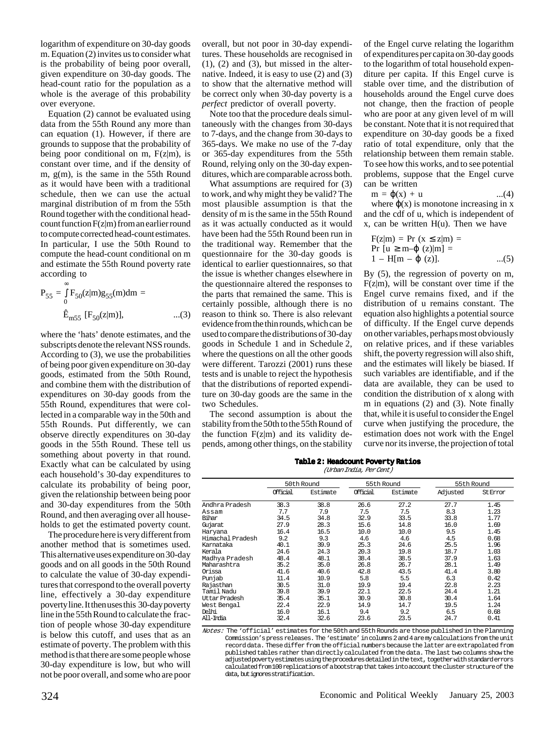logarithm of expenditure on 30-day goods m. Equation (2) invites us to consider what is the probability of being poor overall, given expenditure on 30-day goods. The head-count ratio for the population as a whole is the average of this probability over everyone.

Equation (2) cannot be evaluated using data from the 55th Round any more than can equation (1). However, if there are grounds to suppose that the probability of being poor conditional on m,  $F(z|m)$ , is constant over time, and if the density of m, g(m), is the same in the 55th Round as it would have been with a traditional schedule, then we can use the actual marginal distribution of m from the 55th Round together with the conditional headcount function  $F(z|m)$  from an earlier round to compute corrected head-count estimates. In particular, I use the 50th Round to compute the head-count conditional on m and estimate the 55th Round poverty rate according to

$$
P_{55} = \int_{0}^{\infty} F_{50}(z|m)g_{55}(m)dm =
$$
  

$$
\hat{E}_{m55} \text{ [F}_{50}(z|m)], \qquad ...(3)
$$

where the 'hats' denote estimates, and the subscripts denote the relevant NSS rounds. According to (3), we use the probabilities of being poor given expenditure on 30-day goods, estimated from the 50th Round, and combine them with the distribution of expenditures on 30-day goods from the 55th Round, expenditures that were collected in a comparable way in the 50th and 55th Rounds. Put differently, we can observe directly expenditures on 30-day goods in the 55th Round. These tell us something about poverty in that round. Exactly what can be calculated by using each household's 30-day expenditures to calculate its probability of being poor, given the relationship between being poor and 30-day expenditures from the 50th Round, and then averaging over all households to get the estimated poverty count.

The procedure here is very different from another method that is sometimes used. This alternative uses expenditure on 30-day goods and on all goods in the 50th Round to calculate the value of 30-day expenditures that correspond to the overall poverty line, effectively a 30-day expenditure poverty line. It then uses this 30-day poverty line in the 55th Round to calculate the fraction of people whose 30-day expenditure is below this cutoff, and uses that as an estimate of poverty. The problem with this method is that there are some people whose 30-day expenditure is low, but who will not be poor overall, and some who are poor

overall, but not poor in 30-day expenditures. These households are recognised in  $(1)$ ,  $(2)$  and  $(3)$ , but missed in the alternative. Indeed, it is easy to use (2) and (3) to show that the alternative method will be correct only when 30-day poverty is a *perfect* predictor of overall poverty.

Note too that the procedure deals simultaneously with the changes from 30-days to 7-days, and the change from 30-days to 365-days. We make no use of the 7-day or 365-day expenditures from the 55th Round, relying only on the 30-day expenditures, which are comparable across both.

What assumptions are required for (3) to work, and why might they be valid? The most plausible assumption is that the density of m is the same in the 55th Round as it was actually conducted as it would have been had the 55th Round been run in the traditional way. Remember that the questionnaire for the 30-day goods is identical to earlier questionnaires, so that the issue is whether changes elsewhere in the questionnaire altered the responses to the parts that remained the same. This is certainly possible, although there is no reason to think so. There is also relevant evidence from the thin rounds, which can be used to compare the distributions of 30-day goods in Schedule 1 and in Schedule 2, where the questions on all the other goods were different. Tarozzi (2001) runs these tests and is unable to reject the hypothesis that the distributions of reported expenditure on 30-day goods are the same in the two Schedules.

The second assumption is about the stability from the 50th to the 55th Round of the function  $F(z|m)$  and its validity depends, among other things, on the stability

of the Engel curve relating the logarithm of expenditures per capita on 30-day goods to the logarithm of total household expenditure per capita. If this Engel curve is stable over time, and the distribution of households around the Engel curve does not change, then the fraction of people who are poor at any given level of m will be constant. Note that it is not required that expenditure on 30-day goods be a fixed ratio of total expenditure, only that the relationship between them remain stable. To see how this works, and to see potential problems, suppose that the Engel curve can be written

$$
m = \varphi(x) + u \qquad \qquad ...(4)
$$

where  $\varphi(x)$  is monotone increasing in x and the cdf of u, which is independent of  $x$ , can be written  $H(u)$ . Then we have

$$
F(z|m) = Pr (x \le z|m) =
$$
  
Pr [u \ge m- $\phi$  (z)|m] =  
1 - H[m -  $\phi$  (z)]. ...(5)

By (5), the regression of poverty on m,  $F(z|m)$ , will be constant over time if the Engel curve remains fixed, and if the distribution of u remains constant. The equation also highlights a potential source of difficulty. If the Engel curve depends on other variables, perhaps most obviously on relative prices, and if these variables shift, the poverty regression will also shift, and the estimates will likely be biased. If such variables are identifiable, and if the data are available, they can be used to condition the distribution of x along with m in equations (2) and (3). Note finally that, while it is useful to consider the Engel curve when justifying the procedure, the estimation does not work with the Engel curve nor its inverse, the projection of total

**Table 2: Headcount Poverty Ratios**

| (Urban India, Per Cent) |            |          |            |          |            |          |  |  |  |
|-------------------------|------------|----------|------------|----------|------------|----------|--|--|--|
|                         | 50th Round |          | 55th Round |          | 55th Round |          |  |  |  |
|                         | Official   | Estimate | Official   | Estimate | Adjusted   | St Error |  |  |  |
| Andhra Pradesh          | 38.3       | 38.8     | 26.6       | 27.2     | 27.7       | 1.45     |  |  |  |
| Assam                   | 7.7        | 7.9      | 7.5        | 7.5      | 8.3        | 1.23     |  |  |  |
| Bihar                   | 34.5       | 34.8     | 32.9       | 33.5     | 33.8       | 1.77     |  |  |  |
| Gujarat                 | 27.9       | 28.3     | 15.6       | 14.8     | 16.0       | 1.69     |  |  |  |
| Haryana                 | 16.4       | 16.5     | 10.0       | 10.0     | 9.5        | 1.45     |  |  |  |
| Himachal Pradesh        | 9.2        | 9.3      | 4.6        | 4.6      | 4.5        | 0.68     |  |  |  |
| Karnataka               | 40.1       | 39.9     | 25.3       | 24.6     | 25.5       | 1.96     |  |  |  |
| Kerala                  | 24.6       | 24.3     | 20.3       | 19.8     | 18.7       | 1.03     |  |  |  |
| Madhya Pradesh          | 48.4       | 48.1     | 38.4       | 38.5     | 37.9       | 1.63     |  |  |  |
| Maharashtra             | 35.2       | 35.0     | 26.8       | 26.7     | 28.1       | 1.49     |  |  |  |
| Orissa                  | 41.6       | 40.6     | 42.8       | 43.5     | 41.4       | 3.80     |  |  |  |
| Punjab                  | 11.4       | 10.9     | 5.8        | 5.5      | 6.3        | 0.42     |  |  |  |
| Rajasthan               | 30.5       | 31.0     | 19.9       | 19.4     | 22.8       | 2.23     |  |  |  |
| Tamil Nadu              | 39.8       | 39.9     | 22.1       | 22.5     | 24.4       | 1.21     |  |  |  |
| Uttar Pradesh           | 35.4       | 35.1     | 30.9       | 30.8     | 30.4       | 1.64     |  |  |  |
| West Bengal             | 22.4       | 22.9     | 14.9       | 14.7     | 19.5       | 1.24     |  |  |  |
| Delhi                   | 16.0       | 16.1     | 9.4        | 9.2      | 6.5        | 0.68     |  |  |  |
| All-Irdia               | 32.4       | 32.6     | 23.6       | 23.5     | 24.7       | 0.41     |  |  |  |

Notes: The 'official' estimates for the 50th and 55th Rounds are those published in the Planning Commission's press releases. The 'estimate' in columns 2 and 4 are my calculations from the unit record data. These differ from the official numbers because the latter are extrapolated from published tables rather than directly calculated from the data. The last two columns show the adjusted poverty estimates using the procedures detailed in the text, together with standard errors calculated from 100 replications of a bootstrap that takes into account the cluster structure of the data, but ignores stratification.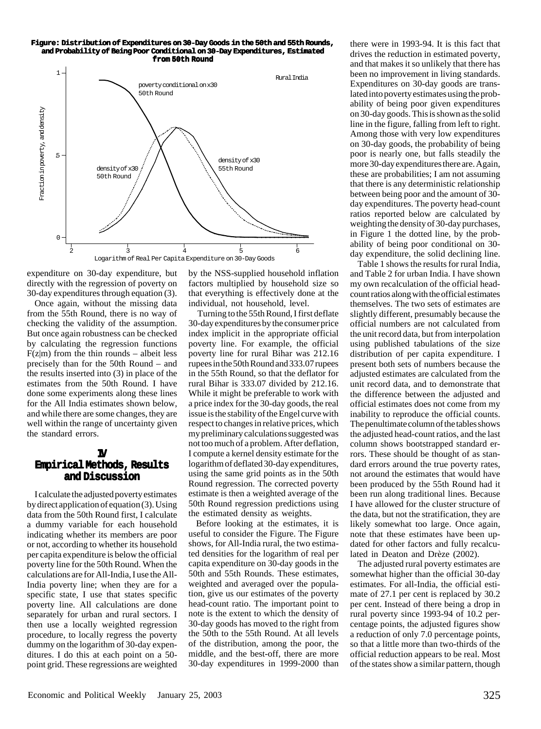#### **Figure: Figure: Distribution Distribution Distribution of Expenditures on 30-Day Goods in the 50th and 55th Rounds, and Probability of Being Poor Conditional Conditional on 30-Day Expenditures, Expenditures, Estimated from 50th Round**



expenditure on 30-day expenditure, but directly with the regression of poverty on 30-day expenditures through equation (3).

Once again, without the missing data from the 55th Round, there is no way of checking the validity of the assumption. But once again robustness can be checked by calculating the regression functions  $F(z|m)$  from the thin rounds – albeit less precisely than for the 50th Round – and the results inserted into (3) in place of the estimates from the 50th Round. I have done some experiments along these lines for the All India estimates shown below, and while there are some changes, they are well within the range of uncertainty given the standard errors.

#### **IV Empirical Methods, Results and Discussion**

I calculate the adjusted poverty estimates by direct application of equation (3). Using data from the 50th Round first, I calculate a dummy variable for each household indicating whether its members are poor or not, according to whether its household per capita expenditure is below the official poverty line for the 50th Round. When the calculations are for All-India, I use the All-India poverty line; when they are for a specific state, I use that states specific poverty line. All calculations are done separately for urban and rural sectors. I then use a locally weighted regression procedure, to locally regress the poverty dummy on the logarithm of 30-day expenditures. I do this at each point on a 50 point grid. These regressions are weighted by the NSS-supplied household inflation factors multiplied by household size so that everything is effectively done at the individual, not household, level.

 Turning to the 55th Round, I first deflate 30-day expenditures by the consumer price index implicit in the appropriate official poverty line. For example, the official poverty line for rural Bihar was 212.16 rupees in the 50th Round and 333.07 rupees in the 55th Round, so that the deflator for rural Bihar is 333.07 divided by 212.16. While it might be preferable to work with a price index for the 30-day goods, the real issue is the stability of the Engel curve with respect to changes in relative prices, which my preliminary calculations suggested was not too much of a problem. After deflation, I compute a kernel density estimate for the logarithm of deflated 30-day expenditures, using the same grid points as in the 50th Round regression. The corrected poverty estimate is then a weighted average of the 50th Round regression predictions using the estimated density as weights.

Before looking at the estimates, it is useful to consider the Figure. The Figure shows, for All-India rural, the two estimated densities for the logarithm of real per capita expenditure on 30-day goods in the 50th and 55th Rounds. These estimates, weighted and averaged over the population, give us our estimates of the poverty head-count ratio. The important point to note is the extent to which the density of 30-day goods has moved to the right from the 50th to the 55th Round. At all levels of the distribution, among the poor, the middle, and the best-off, there are more 30-day expenditures in 1999-2000 than

there were in 1993-94. It is this fact that drives the reduction in estimated poverty, and that makes it so unlikely that there has been no improvement in living standards. Expenditures on 30-day goods are translated into poverty estimates using the probability of being poor given expenditures on 30-day goods. This is shown as the solid line in the figure, falling from left to right. Among those with very low expenditures on 30-day goods, the probability of being poor is nearly one, but falls steadily the more 30-day expenditures there are. Again, these are probabilities; I am not assuming that there is any deterministic relationship between being poor and the amount of 30 day expenditures. The poverty head-count ratios reported below are calculated by weighting the density of 30-day purchases, in Figure 1 the dotted line, by the probability of being poor conditional on 30 day expenditure, the solid declining line.

Table 1 shows the results for rural India, and Table 2 for urban India. I have shown my own recalculation of the official headcount ratios along with the official estimates themselves. The two sets of estimates are slightly different, presumably because the official numbers are not calculated from the unit record data, but from interpolation using published tabulations of the size distribution of per capita expenditure. I present both sets of numbers because the adjusted estimates are calculated from the unit record data, and to demonstrate that the difference between the adjusted and official estimates does not come from my inability to reproduce the official counts. The penultimate column of the tables shows the adjusted head-count ratios, and the last column shows bootstrapped standard errors. These should be thought of as standard errors around the true poverty rates, not around the estimates that would have been produced by the 55th Round had it been run along traditional lines. Because I have allowed for the cluster structure of the data, but not the stratification, they are likely somewhat too large. Once again, note that these estimates have been updated for other factors and fully recalculated in Deaton and Drèze (2002).

The adjusted rural poverty estimates are somewhat higher than the official 30-day estimates. For all-India, the official estimate of 27.1 per cent is replaced by 30.2 per cent. Instead of there being a drop in rural poverty since 1993-94 of 10.2 percentage points, the adjusted figures show a reduction of only 7.0 percentage points, so that a little more than two-thirds of the official reduction appears to be real. Most of the states show a similar pattern, though